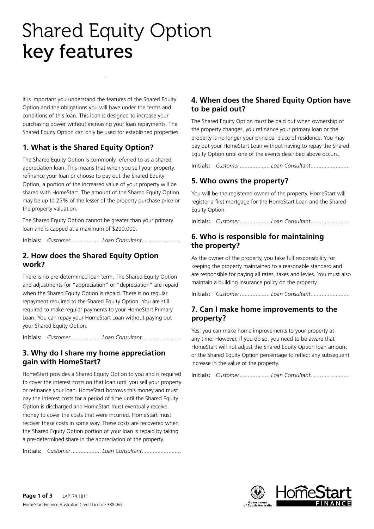# Shared Equity Option key features

It is important you understand the features of the Shared Equity Option and the obligations you will have under the terms and conditions of this loan. This loan is designed to increase your purchasing power without increasing your loan repayments. The Shared Equity Option can only be used for established properties.

# **1. What is the Shared Equity Option?**

The Shared Equity Option is commonly referred to as a shared appreciation loan. This means that when you sell your property, refinance your loan or choose to pay out the Shared Equity Option, a portion of the increased value of your property will be shared with HomeStart. The amount of the Shared Equity Option may be up to 25% of the lesser of the property purchase price or the property valuation.

The Shared Equity Option cannot be greater than your primary loan and is capped at a maximum of \$200,000.

Initials: *Customer ................... Loan Consultant .........................*

# **2. How does the Shared Equity Option work?**

There is no pre-determined loan term. The Shared Equity Option and adjustments for "appreciation" or "depreciation" are repaid when the Shared Equity Option is repaid. There is no regular repayment required to the Shared Equity Option. You are still required to make regular payments to your HomeStart Primary Loan. You can repay your HomeStart Loan without paying out your Shared Equity Option.

Initials: *Customer ................... Loan Consultant .........................*

#### **3. Why do I share my home appreciation gain with HomeStart?**

HomeStart provides a Shared Equity Option to you and is required to cover the interest costs on that loan until you sell your property or refinance your loan. HomeStart borrows this money and must pay the interest costs for a period of time until the Shared Equity Option is discharged and HomeStart must eventually receive money to cover the costs that were incurred. HomeStart must recover these costs in some way. These costs are recovered when the Shared Equity Option portion of your loan is repaid by taking a pre-determined share in the appreciation of the property.

Initials: *Customer ................... Loan Consultant .........................*

# **4. When does the Shared Equity Option have to be paid out?**

The Shared Equity Option must be paid out when ownership of the property changes, you refinance your primary loan or the property is no longer your principal place of residence. You may pay out your HomeStart Loan without having to repay the Shared Equity Option until one of the events described above occurs.

Initials: *Customer ................... Loan Consultant .........................*

# **5. Who owns the property?**

You will be the registered owner of the property. HomeStart will register a first mortgage for the HomeStart Loan and the Shared Equity Option.

Initials: *Customer ................... Loan Consultant .........................*

# **6. Who is responsible for maintaining the property?**

As the owner of the property, you take full responsibility for keeping the property maintained to a reasonable standard and are responsible for paying all rates, taxes and levies. You must also maintain a building insurance policy on the property.

Initials: *Customer ................... Loan Consultant .........................*

#### **7. Can I make home improvements to the property?**

Yes, you can make home improvements to your property at any time. However, if you do so, you need to be aware that HomeStart will not adjust the Shared Equity Option loan amount or the Shared Equity Option percentage to reflect any subsequent increase in the value of the property.

Initials: *Customer ................... Loan Consultant .........................*

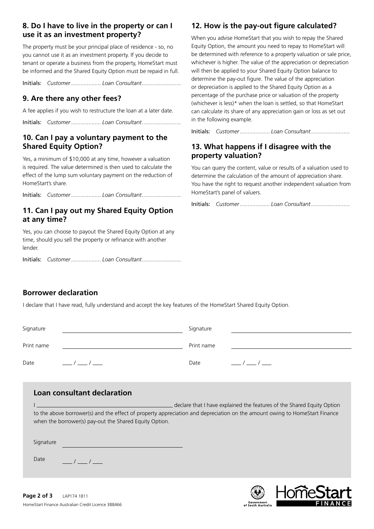### **8. Do I have to live in the property or can I use it as an investment property?**

The property must be your principal place of residence - so, no you cannot use it as an investment property. If you decide to tenant or operate a business from the property, HomeStart must be informed and the Shared Equity Option must be repaid in full.

Initials: *Customer ................... Loan Consultant .........................*

# **9. Are there any other fees?**

A fee applies if you wish to restructure the loan at a later date.

Initials: *Customer ................... Loan Consultant .........................*

# **10. Can I pay a voluntary payment to the Shared Equity Option?**

Yes, a minimum of \$10,000 at any time, however a valuation is required. The value determined is then used to calculate the effect of the lump sum voluntary payment on the reduction of HomeStart's share.

Initials: *Customer ................... Loan Consultant .........................*

# **11. Can I pay out my Shared Equity Option at any time?**

Yes, you can choose to payout the Shared Equity Option at any time, should you sell the property or refinance with another lender.

Initials: *Customer ................... Loan Consultant .........................*

# **12. How is the pay-out figure calculated?**

When you advise HomeStart that you wish to repay the Shared Equity Option, the amount you need to repay to HomeStart will be determined with reference to a property valuation or sale price, whichever is higher. The value of the appreciation or depreciation will then be applied to your Shared Equity Option balance to determine the pay-out figure. The value of the appreciation or depreciation is applied to the Shared Equity Option as a percentage of the purchase price or valuation of the property (whichever is less)\* when the loan is settled, so that HomeStart can calculate its share of any appreciation gain or loss as set out in the following example.

Initials: *Customer ................... Loan Consultant .........................*

# **13. What happens if I disagree with the property valuation?**

You can query the content, value or results of a valuation used to determine the calculation of the amount of appreciation share. You have the right to request another independent valuation from HomeStart's panel of valuers.

Initials: *Customer ................... Loan Consultant .........................*

# **Borrower declaration**

I declare that I have read, fully understand and accept the key features of the HomeStart Shared Equity Option.

| Signature  | Signature  |  |
|------------|------------|--|
| Print name | Print name |  |
| Date       | Date       |  |

#### **Loan consultant declaration**

I **INSTERNATE CONSTRANT OF A HAVE EXPLAINED A** declare that I have explained the features of the Shared Equity Option to the above borrower(s) and the effect of property appreciation and depreciation on the amount owing to HomeStart Finance when the borrower(s) pay-out the Shared Equity Option.

Signature

Date  $\frac{1}{2}$ / $\frac{1}{2}$